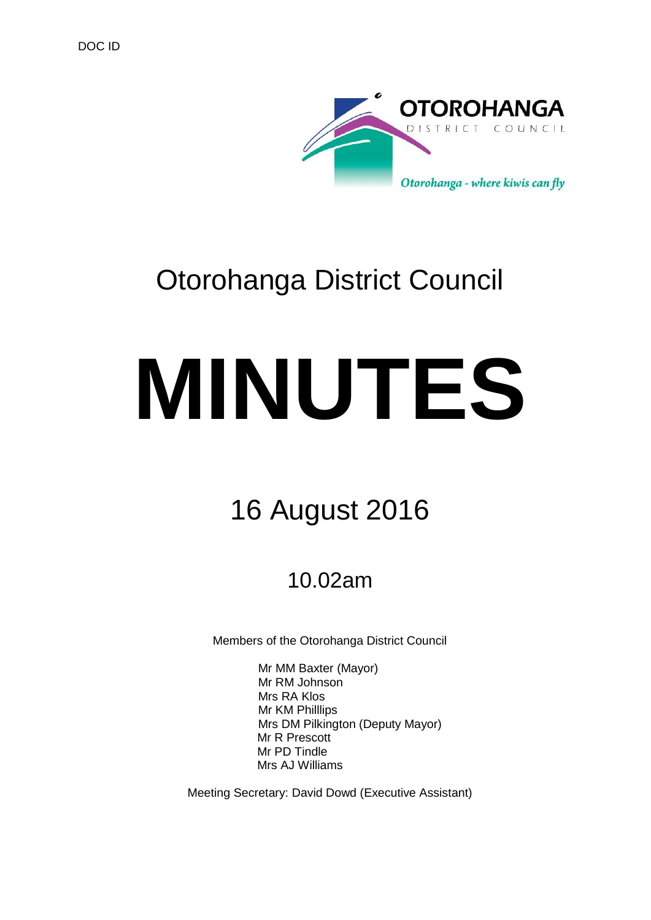

# Otorohanga District Council

# **MINUTES**

# 16 August 2016

# 10.02am

Members of the Otorohanga District Council

Mr MM Baxter (Mayor) Mr RM Johnson Mrs RA Klos Mr KM Philllips Mrs DM Pilkington (Deputy Mayor) Mr R Prescott Mr PD Tindle Mrs AJ Williams

Meeting Secretary: David Dowd (Executive Assistant)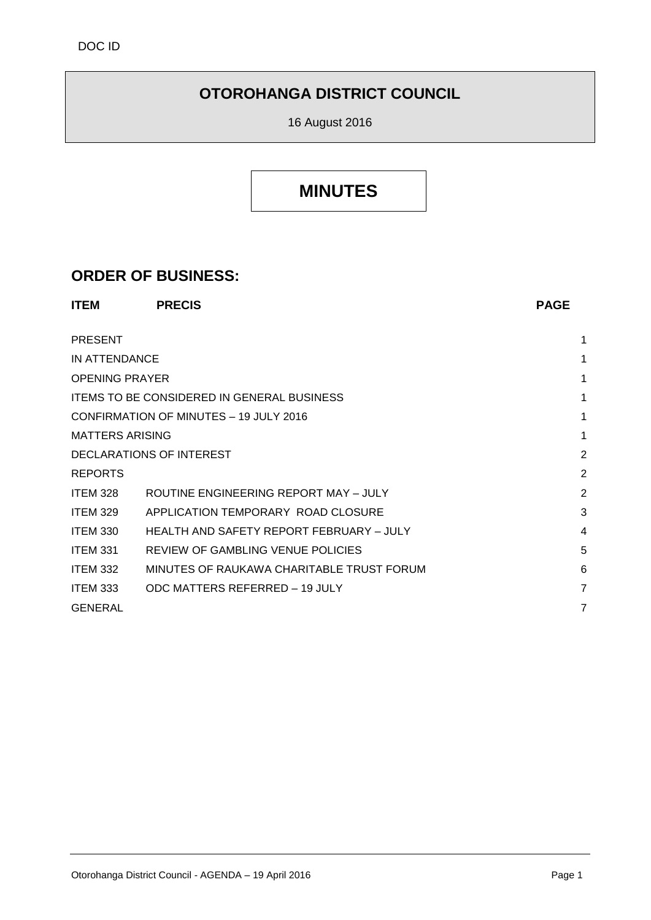## **OTOROHANGA DISTRICT COUNCIL**

16 August 2016

## **MINUTES**

### **ORDER OF BUSINESS:**

| <b>ITEM</b>                            | <b>PRECIS</b>                                     | <b>PAGE</b> |
|----------------------------------------|---------------------------------------------------|-------------|
| <b>PRESENT</b>                         |                                                   | 1           |
| IN ATTENDANCE                          |                                                   | 1           |
| <b>OPENING PRAYER</b>                  |                                                   | 1           |
|                                        | <b>ITEMS TO BE CONSIDERED IN GENERAL BUSINESS</b> |             |
| CONFIRMATION OF MINUTES - 19 JULY 2016 |                                                   | 1           |
| <b>MATTERS ARISING</b>                 |                                                   | 1           |
| DECLARATIONS OF INTEREST               |                                                   | 2           |
| <b>REPORTS</b>                         |                                                   | 2           |
| <b>ITEM 328</b>                        | ROUTINE ENGINEERING REPORT MAY - JULY             | 2           |
| <b>ITEM 329</b>                        | APPLICATION TEMPORARY ROAD CLOSURE                | 3           |
| <b>ITEM 330</b>                        | HEALTH AND SAFETY REPORT FEBRUARY - JULY          | 4           |
| <b>ITEM 331</b>                        | REVIEW OF GAMBLING VENUE POLICIES                 | 5           |
| <b>ITEM 332</b>                        | MINUTES OF RAUKAWA CHARITABLE TRUST FORUM         | 6           |
| <b>ITEM 333</b>                        | ODC MATTERS REFERRED - 19 JULY                    | 7           |
| <b>GENERAL</b>                         |                                                   | 7           |
|                                        |                                                   |             |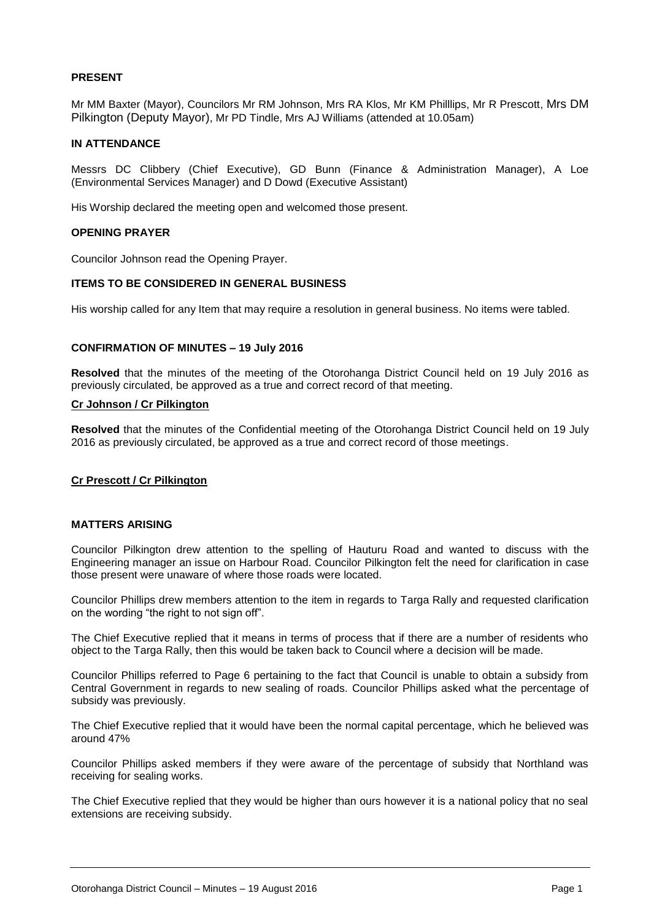#### **PRESENT**

Mr MM Baxter (Mayor), Councilors Mr RM Johnson, Mrs RA Klos, Mr KM Philllips, Mr R Prescott, Mrs DM Pilkington (Deputy Mayor), Mr PD Tindle, Mrs AJ Williams (attended at 10.05am)

#### **IN ATTENDANCE**

Messrs DC Clibbery (Chief Executive), GD Bunn (Finance & Administration Manager), A Loe (Environmental Services Manager) and D Dowd (Executive Assistant)

His Worship declared the meeting open and welcomed those present.

#### **OPENING PRAYER**

Councilor Johnson read the Opening Prayer.

#### **ITEMS TO BE CONSIDERED IN GENERAL BUSINESS**

His worship called for any Item that may require a resolution in general business. No items were tabled.

#### **CONFIRMATION OF MINUTES – 19 July 2016**

**Resolved** that the minutes of the meeting of the Otorohanga District Council held on 19 July 2016 as previously circulated, be approved as a true and correct record of that meeting.

#### **Cr Johnson / Cr Pilkington**

**Resolved** that the minutes of the Confidential meeting of the Otorohanga District Council held on 19 July 2016 as previously circulated, be approved as a true and correct record of those meetings.

#### **Cr Prescott / Cr Pilkington**

#### **MATTERS ARISING**

Councilor Pilkington drew attention to the spelling of Hauturu Road and wanted to discuss with the Engineering manager an issue on Harbour Road. Councilor Pilkington felt the need for clarification in case those present were unaware of where those roads were located.

Councilor Phillips drew members attention to the item in regards to Targa Rally and requested clarification on the wording "the right to not sign off".

The Chief Executive replied that it means in terms of process that if there are a number of residents who object to the Targa Rally, then this would be taken back to Council where a decision will be made.

Councilor Phillips referred to Page 6 pertaining to the fact that Council is unable to obtain a subsidy from Central Government in regards to new sealing of roads. Councilor Phillips asked what the percentage of subsidy was previously.

The Chief Executive replied that it would have been the normal capital percentage, which he believed was around 47%

Councilor Phillips asked members if they were aware of the percentage of subsidy that Northland was receiving for sealing works.

The Chief Executive replied that they would be higher than ours however it is a national policy that no seal extensions are receiving subsidy.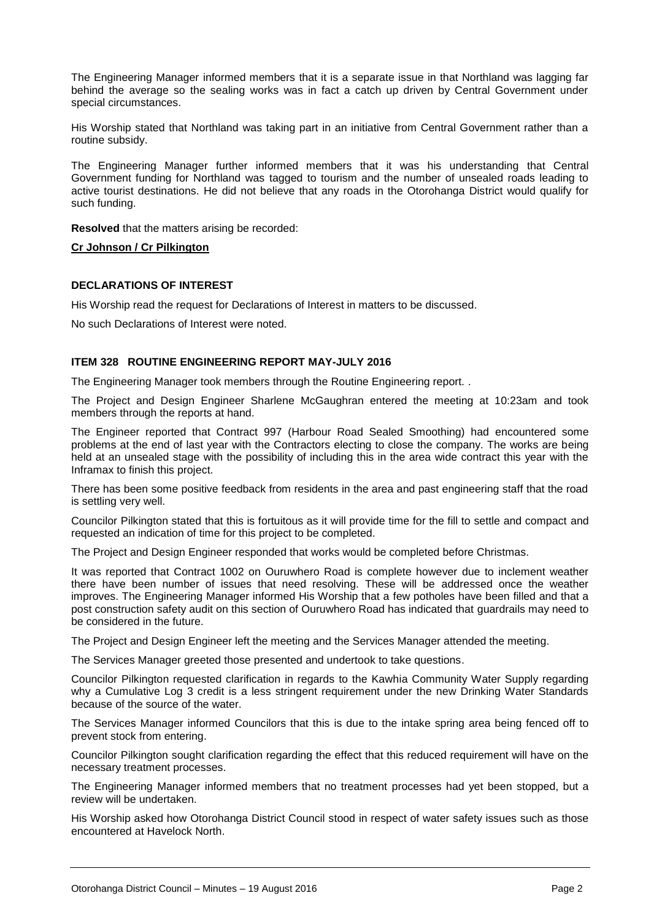The Engineering Manager informed members that it is a separate issue in that Northland was lagging far behind the average so the sealing works was in fact a catch up driven by Central Government under special circumstances.

His Worship stated that Northland was taking part in an initiative from Central Government rather than a routine subsidy.

The Engineering Manager further informed members that it was his understanding that Central Government funding for Northland was tagged to tourism and the number of unsealed roads leading to active tourist destinations. He did not believe that any roads in the Otorohanga District would qualify for such funding.

**Resolved** that the matters arising be recorded:

**Cr Johnson / Cr Pilkington**

#### **DECLARATIONS OF INTEREST**

His Worship read the request for Declarations of Interest in matters to be discussed.

No such Declarations of Interest were noted.

#### **ITEM 328 ROUTINE ENGINEERING REPORT MAY-JULY 2016**

The Engineering Manager took members through the Routine Engineering report. .

The Project and Design Engineer Sharlene McGaughran entered the meeting at 10:23am and took members through the reports at hand.

The Engineer reported that Contract 997 (Harbour Road Sealed Smoothing) had encountered some problems at the end of last year with the Contractors electing to close the company. The works are being held at an unsealed stage with the possibility of including this in the area wide contract this year with the Inframax to finish this project.

There has been some positive feedback from residents in the area and past engineering staff that the road is settling very well.

Councilor Pilkington stated that this is fortuitous as it will provide time for the fill to settle and compact and requested an indication of time for this project to be completed.

The Project and Design Engineer responded that works would be completed before Christmas.

It was reported that Contract 1002 on Ouruwhero Road is complete however due to inclement weather there have been number of issues that need resolving. These will be addressed once the weather improves. The Engineering Manager informed His Worship that a few potholes have been filled and that a post construction safety audit on this section of Ouruwhero Road has indicated that guardrails may need to be considered in the future.

The Project and Design Engineer left the meeting and the Services Manager attended the meeting.

The Services Manager greeted those presented and undertook to take questions.

Councilor Pilkington requested clarification in regards to the Kawhia Community Water Supply regarding why a Cumulative Log 3 credit is a less stringent requirement under the new Drinking Water Standards because of the source of the water.

The Services Manager informed Councilors that this is due to the intake spring area being fenced off to prevent stock from entering.

Councilor Pilkington sought clarification regarding the effect that this reduced requirement will have on the necessary treatment processes.

The Engineering Manager informed members that no treatment processes had yet been stopped, but a review will be undertaken.

His Worship asked how Otorohanga District Council stood in respect of water safety issues such as those encountered at Havelock North.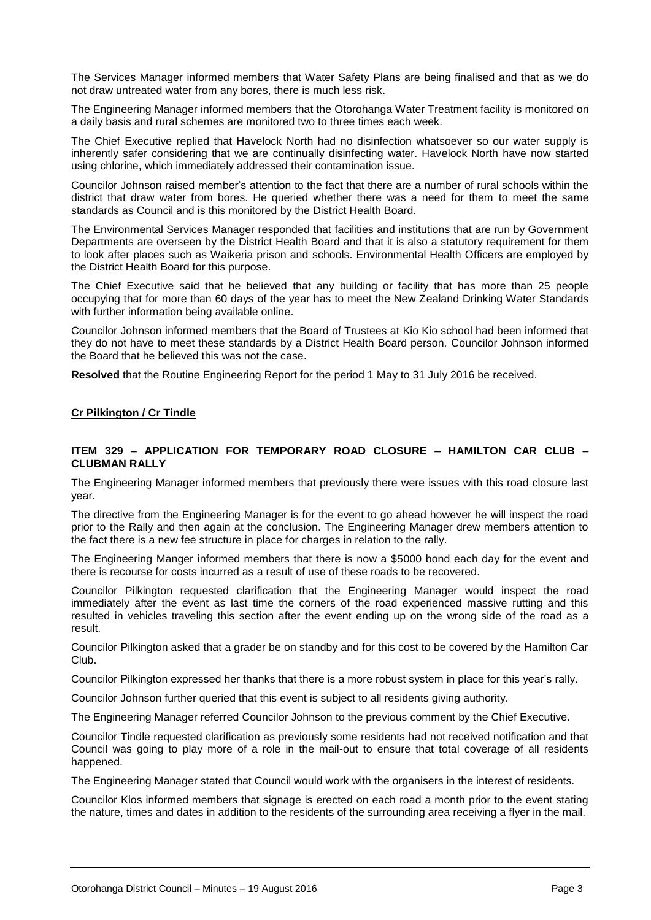The Services Manager informed members that Water Safety Plans are being finalised and that as we do not draw untreated water from any bores, there is much less risk.

The Engineering Manager informed members that the Otorohanga Water Treatment facility is monitored on a daily basis and rural schemes are monitored two to three times each week.

The Chief Executive replied that Havelock North had no disinfection whatsoever so our water supply is inherently safer considering that we are continually disinfecting water. Havelock North have now started using chlorine, which immediately addressed their contamination issue.

Councilor Johnson raised member's attention to the fact that there are a number of rural schools within the district that draw water from bores. He queried whether there was a need for them to meet the same standards as Council and is this monitored by the District Health Board.

The Environmental Services Manager responded that facilities and institutions that are run by Government Departments are overseen by the District Health Board and that it is also a statutory requirement for them to look after places such as Waikeria prison and schools. Environmental Health Officers are employed by the District Health Board for this purpose.

The Chief Executive said that he believed that any building or facility that has more than 25 people occupying that for more than 60 days of the year has to meet the New Zealand Drinking Water Standards with further information being available online.

Councilor Johnson informed members that the Board of Trustees at Kio Kio school had been informed that they do not have to meet these standards by a District Health Board person. Councilor Johnson informed the Board that he believed this was not the case.

**Resolved** that the Routine Engineering Report for the period 1 May to 31 July 2016 be received.

#### **Cr Pilkington / Cr Tindle**

#### **ITEM 329 – APPLICATION FOR TEMPORARY ROAD CLOSURE – HAMILTON CAR CLUB – CLUBMAN RALLY**

The Engineering Manager informed members that previously there were issues with this road closure last year.

The directive from the Engineering Manager is for the event to go ahead however he will inspect the road prior to the Rally and then again at the conclusion. The Engineering Manager drew members attention to the fact there is a new fee structure in place for charges in relation to the rally.

The Engineering Manger informed members that there is now a \$5000 bond each day for the event and there is recourse for costs incurred as a result of use of these roads to be recovered.

Councilor Pilkington requested clarification that the Engineering Manager would inspect the road immediately after the event as last time the corners of the road experienced massive rutting and this resulted in vehicles traveling this section after the event ending up on the wrong side of the road as a result.

Councilor Pilkington asked that a grader be on standby and for this cost to be covered by the Hamilton Car Club.

Councilor Pilkington expressed her thanks that there is a more robust system in place for this year's rally.

Councilor Johnson further queried that this event is subject to all residents giving authority.

The Engineering Manager referred Councilor Johnson to the previous comment by the Chief Executive.

Councilor Tindle requested clarification as previously some residents had not received notification and that Council was going to play more of a role in the mail-out to ensure that total coverage of all residents happened.

The Engineering Manager stated that Council would work with the organisers in the interest of residents.

Councilor Klos informed members that signage is erected on each road a month prior to the event stating the nature, times and dates in addition to the residents of the surrounding area receiving a flyer in the mail.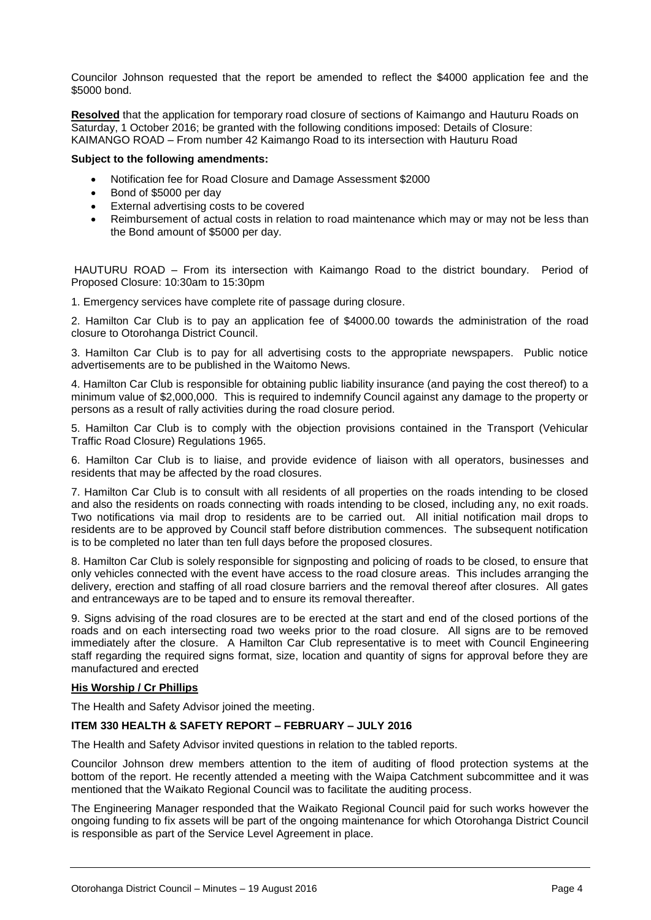Councilor Johnson requested that the report be amended to reflect the \$4000 application fee and the \$5000 bond.

**Resolved** that the application for temporary road closure of sections of Kaimango and Hauturu Roads on Saturday, 1 October 2016; be granted with the following conditions imposed: Details of Closure: KAIMANGO ROAD – From number 42 Kaimango Road to its intersection with Hauturu Road

#### **Subject to the following amendments:**

- Notification fee for Road Closure and Damage Assessment \$2000
- Bond of \$5000 per day
- External advertising costs to be covered
- Reimbursement of actual costs in relation to road maintenance which may or may not be less than the Bond amount of \$5000 per day.

HAUTURU ROAD – From its intersection with Kaimango Road to the district boundary. Period of Proposed Closure: 10:30am to 15:30pm

1. Emergency services have complete rite of passage during closure.

2. Hamilton Car Club is to pay an application fee of \$4000.00 towards the administration of the road closure to Otorohanga District Council.

3. Hamilton Car Club is to pay for all advertising costs to the appropriate newspapers. Public notice advertisements are to be published in the Waitomo News.

4. Hamilton Car Club is responsible for obtaining public liability insurance (and paying the cost thereof) to a minimum value of \$2,000,000. This is required to indemnify Council against any damage to the property or persons as a result of rally activities during the road closure period.

5. Hamilton Car Club is to comply with the objection provisions contained in the Transport (Vehicular Traffic Road Closure) Regulations 1965.

6. Hamilton Car Club is to liaise, and provide evidence of liaison with all operators, businesses and residents that may be affected by the road closures.

7. Hamilton Car Club is to consult with all residents of all properties on the roads intending to be closed and also the residents on roads connecting with roads intending to be closed, including any, no exit roads. Two notifications via mail drop to residents are to be carried out. All initial notification mail drops to residents are to be approved by Council staff before distribution commences. The subsequent notification is to be completed no later than ten full days before the proposed closures.

8. Hamilton Car Club is solely responsible for signposting and policing of roads to be closed, to ensure that only vehicles connected with the event have access to the road closure areas. This includes arranging the delivery, erection and staffing of all road closure barriers and the removal thereof after closures. All gates and entranceways are to be taped and to ensure its removal thereafter.

9. Signs advising of the road closures are to be erected at the start and end of the closed portions of the roads and on each intersecting road two weeks prior to the road closure. All signs are to be removed immediately after the closure. A Hamilton Car Club representative is to meet with Council Engineering staff regarding the required signs format, size, location and quantity of signs for approval before they are manufactured and erected

#### **His Worship / Cr Phillips**

The Health and Safety Advisor joined the meeting.

#### **ITEM 330 HEALTH & SAFETY REPORT – FEBRUARY – JULY 2016**

The Health and Safety Advisor invited questions in relation to the tabled reports.

Councilor Johnson drew members attention to the item of auditing of flood protection systems at the bottom of the report. He recently attended a meeting with the Waipa Catchment subcommittee and it was mentioned that the Waikato Regional Council was to facilitate the auditing process.

The Engineering Manager responded that the Waikato Regional Council paid for such works however the ongoing funding to fix assets will be part of the ongoing maintenance for which Otorohanga District Council is responsible as part of the Service Level Agreement in place.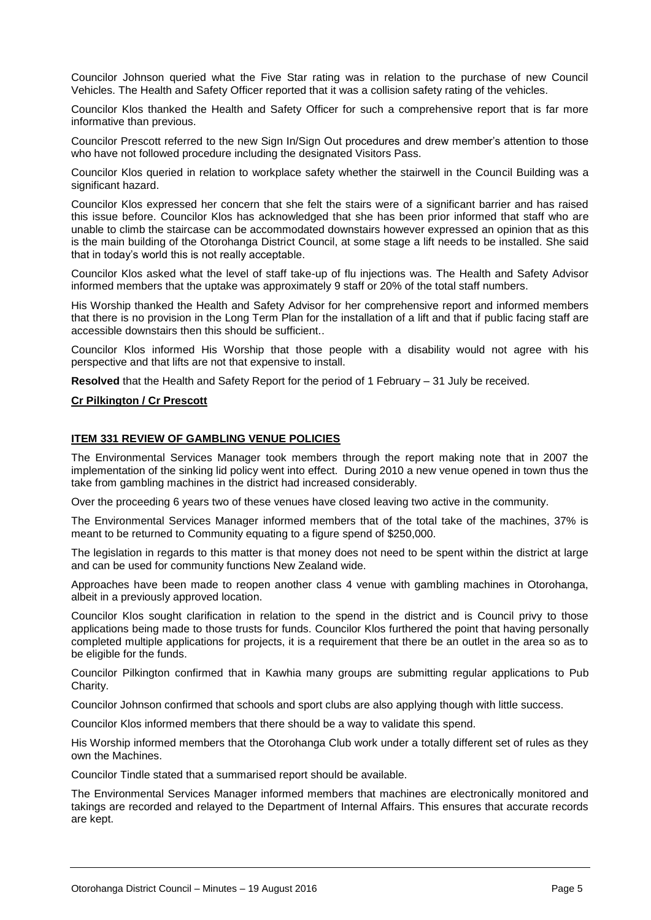Councilor Johnson queried what the Five Star rating was in relation to the purchase of new Council Vehicles. The Health and Safety Officer reported that it was a collision safety rating of the vehicles.

Councilor Klos thanked the Health and Safety Officer for such a comprehensive report that is far more informative than previous.

Councilor Prescott referred to the new Sign In/Sign Out procedures and drew member's attention to those who have not followed procedure including the designated Visitors Pass.

Councilor Klos queried in relation to workplace safety whether the stairwell in the Council Building was a significant hazard.

Councilor Klos expressed her concern that she felt the stairs were of a significant barrier and has raised this issue before. Councilor Klos has acknowledged that she has been prior informed that staff who are unable to climb the staircase can be accommodated downstairs however expressed an opinion that as this is the main building of the Otorohanga District Council, at some stage a lift needs to be installed. She said that in today's world this is not really acceptable.

Councilor Klos asked what the level of staff take-up of flu injections was. The Health and Safety Advisor informed members that the uptake was approximately 9 staff or 20% of the total staff numbers.

His Worship thanked the Health and Safety Advisor for her comprehensive report and informed members that there is no provision in the Long Term Plan for the installation of a lift and that if public facing staff are accessible downstairs then this should be sufficient..

Councilor Klos informed His Worship that those people with a disability would not agree with his perspective and that lifts are not that expensive to install.

**Resolved** that the Health and Safety Report for the period of 1 February – 31 July be received.

#### **Cr Pilkington / Cr Prescott**

#### **ITEM 331 REVIEW OF GAMBLING VENUE POLICIES**

The Environmental Services Manager took members through the report making note that in 2007 the implementation of the sinking lid policy went into effect. During 2010 a new venue opened in town thus the take from gambling machines in the district had increased considerably.

Over the proceeding 6 years two of these venues have closed leaving two active in the community.

The Environmental Services Manager informed members that of the total take of the machines, 37% is meant to be returned to Community equating to a figure spend of \$250,000.

The legislation in regards to this matter is that money does not need to be spent within the district at large and can be used for community functions New Zealand wide.

Approaches have been made to reopen another class 4 venue with gambling machines in Otorohanga, albeit in a previously approved location.

Councilor Klos sought clarification in relation to the spend in the district and is Council privy to those applications being made to those trusts for funds. Councilor Klos furthered the point that having personally completed multiple applications for projects, it is a requirement that there be an outlet in the area so as to be eligible for the funds.

Councilor Pilkington confirmed that in Kawhia many groups are submitting regular applications to Pub Charity.

Councilor Johnson confirmed that schools and sport clubs are also applying though with little success.

Councilor Klos informed members that there should be a way to validate this spend.

His Worship informed members that the Otorohanga Club work under a totally different set of rules as they own the Machines.

Councilor Tindle stated that a summarised report should be available.

The Environmental Services Manager informed members that machines are electronically monitored and takings are recorded and relayed to the Department of Internal Affairs. This ensures that accurate records are kept.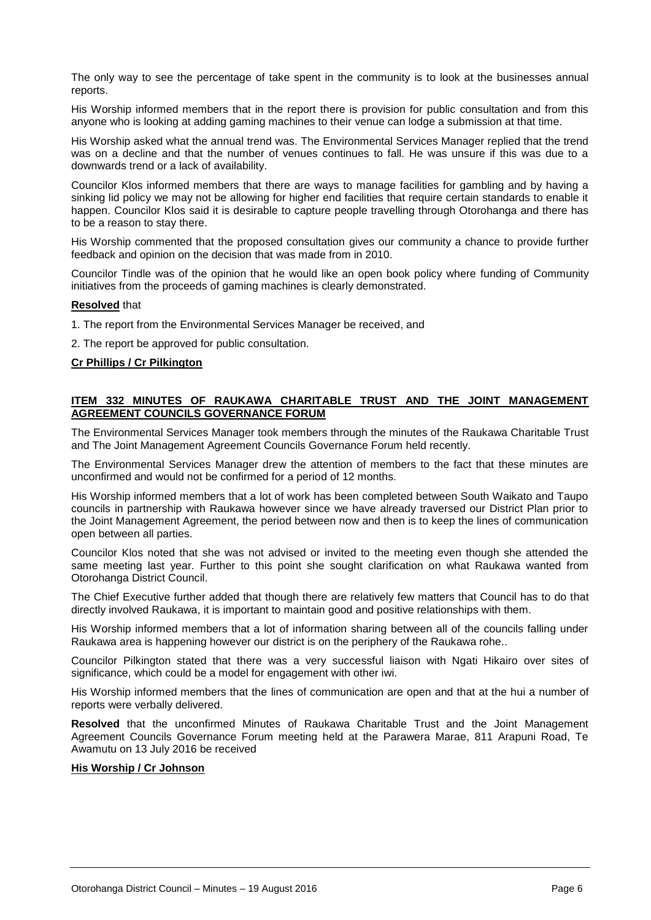The only way to see the percentage of take spent in the community is to look at the businesses annual reports.

His Worship informed members that in the report there is provision for public consultation and from this anyone who is looking at adding gaming machines to their venue can lodge a submission at that time.

His Worship asked what the annual trend was. The Environmental Services Manager replied that the trend was on a decline and that the number of venues continues to fall. He was unsure if this was due to a downwards trend or a lack of availability.

Councilor Klos informed members that there are ways to manage facilities for gambling and by having a sinking lid policy we may not be allowing for higher end facilities that require certain standards to enable it happen. Councilor Klos said it is desirable to capture people travelling through Otorohanga and there has to be a reason to stay there.

His Worship commented that the proposed consultation gives our community a chance to provide further feedback and opinion on the decision that was made from in 2010.

Councilor Tindle was of the opinion that he would like an open book policy where funding of Community initiatives from the proceeds of gaming machines is clearly demonstrated.

#### **Resolved** that

1. The report from the Environmental Services Manager be received, and

2. The report be approved for public consultation.

#### **Cr Phillips / Cr Pilkington**

#### **ITEM 332 MINUTES OF RAUKAWA CHARITABLE TRUST AND THE JOINT MANAGEMENT AGREEMENT COUNCILS GOVERNANCE FORUM**

The Environmental Services Manager took members through the minutes of the Raukawa Charitable Trust and The Joint Management Agreement Councils Governance Forum held recently.

The Environmental Services Manager drew the attention of members to the fact that these minutes are unconfirmed and would not be confirmed for a period of 12 months.

His Worship informed members that a lot of work has been completed between South Waikato and Taupo councils in partnership with Raukawa however since we have already traversed our District Plan prior to the Joint Management Agreement, the period between now and then is to keep the lines of communication open between all parties.

Councilor Klos noted that she was not advised or invited to the meeting even though she attended the same meeting last year. Further to this point she sought clarification on what Raukawa wanted from Otorohanga District Council.

The Chief Executive further added that though there are relatively few matters that Council has to do that directly involved Raukawa, it is important to maintain good and positive relationships with them.

His Worship informed members that a lot of information sharing between all of the councils falling under Raukawa area is happening however our district is on the periphery of the Raukawa rohe..

Councilor Pilkington stated that there was a very successful liaison with Ngati Hikairo over sites of significance, which could be a model for engagement with other iwi.

His Worship informed members that the lines of communication are open and that at the hui a number of reports were verbally delivered.

**Resolved** that the unconfirmed Minutes of Raukawa Charitable Trust and the Joint Management Agreement Councils Governance Forum meeting held at the Parawera Marae, 811 Arapuni Road, Te Awamutu on 13 July 2016 be received

#### **His Worship / Cr Johnson**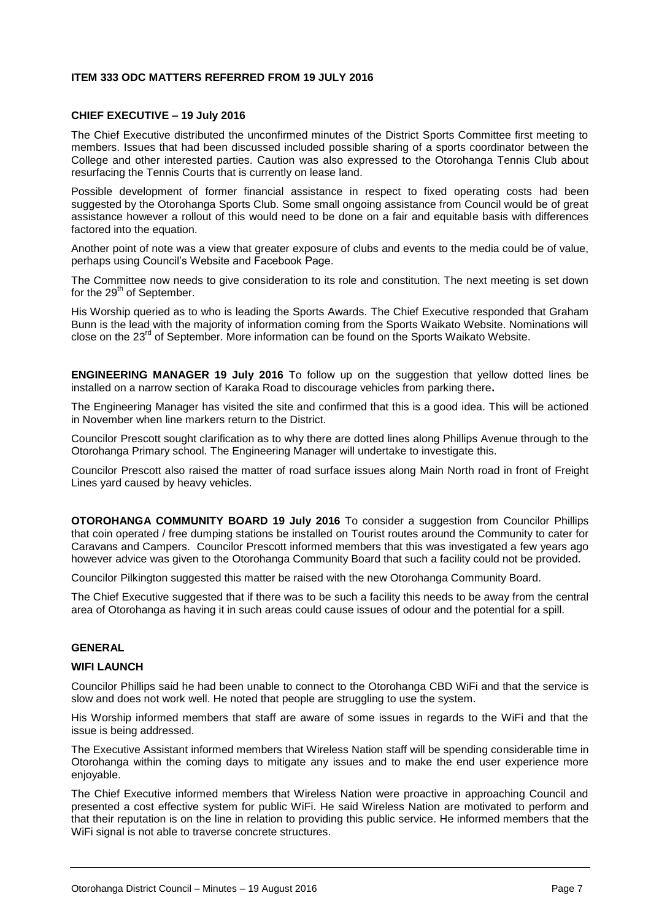#### **ITEM 333 ODC MATTERS REFERRED FROM 19 JULY 2016**

#### **CHIEF EXECUTIVE – 19 July 2016**

The Chief Executive distributed the unconfirmed minutes of the District Sports Committee first meeting to members. Issues that had been discussed included possible sharing of a sports coordinator between the College and other interested parties. Caution was also expressed to the Otorohanga Tennis Club about resurfacing the Tennis Courts that is currently on lease land.

Possible development of former financial assistance in respect to fixed operating costs had been suggested by the Otorohanga Sports Club. Some small ongoing assistance from Council would be of great assistance however a rollout of this would need to be done on a fair and equitable basis with differences factored into the equation.

Another point of note was a view that greater exposure of clubs and events to the media could be of value, perhaps using Council's Website and Facebook Page.

The Committee now needs to give consideration to its role and constitution. The next meeting is set down for the  $29<sup>th</sup>$  of September.

His Worship queried as to who is leading the Sports Awards. The Chief Executive responded that Graham Bunn is the lead with the majority of information coming from the Sports Waikato Website. Nominations will close on the 23rd of September. More information can be found on the Sports Waikato Website.

**ENGINEERING MANAGER 19 July 2016** To follow up on the suggestion that yellow dotted lines be installed on a narrow section of Karaka Road to discourage vehicles from parking there**.**

The Engineering Manager has visited the site and confirmed that this is a good idea. This will be actioned in November when line markers return to the District.

Councilor Prescott sought clarification as to why there are dotted lines along Phillips Avenue through to the Otorohanga Primary school. The Engineering Manager will undertake to investigate this.

Councilor Prescott also raised the matter of road surface issues along Main North road in front of Freight Lines yard caused by heavy vehicles.

**OTOROHANGA COMMUNITY BOARD 19 July 2016** To consider a suggestion from Councilor Phillips that coin operated / free dumping stations be installed on Tourist routes around the Community to cater for Caravans and Campers. Councilor Prescott informed members that this was investigated a few years ago however advice was given to the Otorohanga Community Board that such a facility could not be provided.

Councilor Pilkington suggested this matter be raised with the new Otorohanga Community Board.

The Chief Executive suggested that if there was to be such a facility this needs to be away from the central area of Otorohanga as having it in such areas could cause issues of odour and the potential for a spill.

#### **GENERAL**

#### **WIFI LAUNCH**

Councilor Phillips said he had been unable to connect to the Otorohanga CBD WiFi and that the service is slow and does not work well. He noted that people are struggling to use the system.

His Worship informed members that staff are aware of some issues in regards to the WiFi and that the issue is being addressed.

The Executive Assistant informed members that Wireless Nation staff will be spending considerable time in Otorohanga within the coming days to mitigate any issues and to make the end user experience more enjoyable.

The Chief Executive informed members that Wireless Nation were proactive in approaching Council and presented a cost effective system for public WiFi. He said Wireless Nation are motivated to perform and that their reputation is on the line in relation to providing this public service. He informed members that the WiFi signal is not able to traverse concrete structures.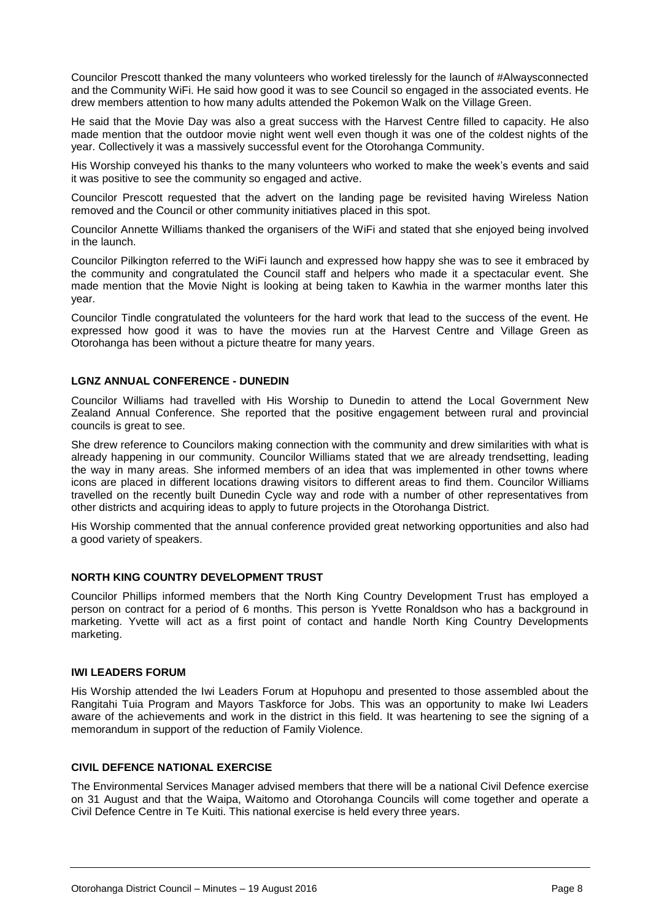Councilor Prescott thanked the many volunteers who worked tirelessly for the launch of #Alwaysconnected and the Community WiFi. He said how good it was to see Council so engaged in the associated events. He drew members attention to how many adults attended the Pokemon Walk on the Village Green.

He said that the Movie Day was also a great success with the Harvest Centre filled to capacity. He also made mention that the outdoor movie night went well even though it was one of the coldest nights of the year. Collectively it was a massively successful event for the Otorohanga Community.

His Worship conveyed his thanks to the many volunteers who worked to make the week's events and said it was positive to see the community so engaged and active.

Councilor Prescott requested that the advert on the landing page be revisited having Wireless Nation removed and the Council or other community initiatives placed in this spot.

Councilor Annette Williams thanked the organisers of the WiFi and stated that she enjoyed being involved in the launch.

Councilor Pilkington referred to the WiFi launch and expressed how happy she was to see it embraced by the community and congratulated the Council staff and helpers who made it a spectacular event. She made mention that the Movie Night is looking at being taken to Kawhia in the warmer months later this year.

Councilor Tindle congratulated the volunteers for the hard work that lead to the success of the event. He expressed how good it was to have the movies run at the Harvest Centre and Village Green as Otorohanga has been without a picture theatre for many years.

#### **LGNZ ANNUAL CONFERENCE - DUNEDIN**

Councilor Williams had travelled with His Worship to Dunedin to attend the Local Government New Zealand Annual Conference. She reported that the positive engagement between rural and provincial councils is great to see.

She drew reference to Councilors making connection with the community and drew similarities with what is already happening in our community. Councilor Williams stated that we are already trendsetting, leading the way in many areas. She informed members of an idea that was implemented in other towns where icons are placed in different locations drawing visitors to different areas to find them. Councilor Williams travelled on the recently built Dunedin Cycle way and rode with a number of other representatives from other districts and acquiring ideas to apply to future projects in the Otorohanga District.

His Worship commented that the annual conference provided great networking opportunities and also had a good variety of speakers.

#### **NORTH KING COUNTRY DEVELOPMENT TRUST**

Councilor Phillips informed members that the North King Country Development Trust has employed a person on contract for a period of 6 months. This person is Yvette Ronaldson who has a background in marketing. Yvette will act as a first point of contact and handle North King Country Developments marketing.

#### **IWI LEADERS FORUM**

His Worship attended the Iwi Leaders Forum at Hopuhopu and presented to those assembled about the Rangitahi Tuia Program and Mayors Taskforce for Jobs. This was an opportunity to make Iwi Leaders aware of the achievements and work in the district in this field. It was heartening to see the signing of a memorandum in support of the reduction of Family Violence.

#### **CIVIL DEFENCE NATIONAL EXERCISE**

The Environmental Services Manager advised members that there will be a national Civil Defence exercise on 31 August and that the Waipa, Waitomo and Otorohanga Councils will come together and operate a Civil Defence Centre in Te Kuiti. This national exercise is held every three years.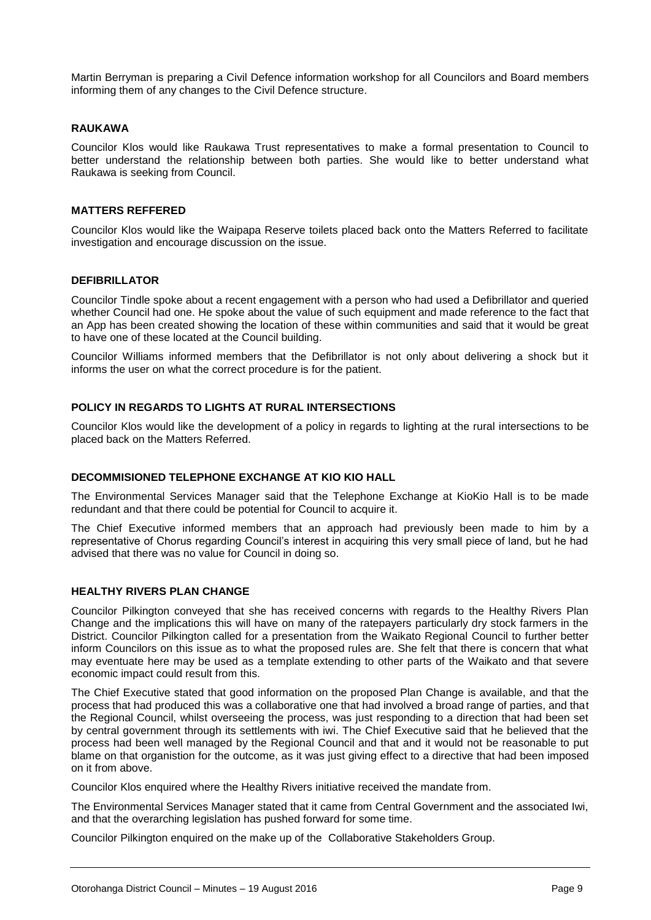Martin Berryman is preparing a Civil Defence information workshop for all Councilors and Board members informing them of any changes to the Civil Defence structure.

#### **RAUKAWA**

Councilor Klos would like Raukawa Trust representatives to make a formal presentation to Council to better understand the relationship between both parties. She would like to better understand what Raukawa is seeking from Council.

#### **MATTERS REFFERED**

Councilor Klos would like the Waipapa Reserve toilets placed back onto the Matters Referred to facilitate investigation and encourage discussion on the issue.

#### **DEFIBRILLATOR**

Councilor Tindle spoke about a recent engagement with a person who had used a Defibrillator and queried whether Council had one. He spoke about the value of such equipment and made reference to the fact that an App has been created showing the location of these within communities and said that it would be great to have one of these located at the Council building.

Councilor Williams informed members that the Defibrillator is not only about delivering a shock but it informs the user on what the correct procedure is for the patient.

#### **POLICY IN REGARDS TO LIGHTS AT RURAL INTERSECTIONS**

Councilor Klos would like the development of a policy in regards to lighting at the rural intersections to be placed back on the Matters Referred.

#### **DECOMMISIONED TELEPHONE EXCHANGE AT KIO KIO HALL**

The Environmental Services Manager said that the Telephone Exchange at KioKio Hall is to be made redundant and that there could be potential for Council to acquire it.

The Chief Executive informed members that an approach had previously been made to him by a representative of Chorus regarding Council's interest in acquiring this very small piece of land, but he had advised that there was no value for Council in doing so.

#### **HEALTHY RIVERS PLAN CHANGE**

Councilor Pilkington conveyed that she has received concerns with regards to the Healthy Rivers Plan Change and the implications this will have on many of the ratepayers particularly dry stock farmers in the District. Councilor Pilkington called for a presentation from the Waikato Regional Council to further better inform Councilors on this issue as to what the proposed rules are. She felt that there is concern that what may eventuate here may be used as a template extending to other parts of the Waikato and that severe economic impact could result from this.

The Chief Executive stated that good information on the proposed Plan Change is available, and that the process that had produced this was a collaborative one that had involved a broad range of parties, and that the Regional Council, whilst overseeing the process, was just responding to a direction that had been set by central government through its settlements with iwi. The Chief Executive said that he believed that the process had been well managed by the Regional Council and that and it would not be reasonable to put blame on that organistion for the outcome, as it was just giving effect to a directive that had been imposed on it from above.

Councilor Klos enquired where the Healthy Rivers initiative received the mandate from.

The Environmental Services Manager stated that it came from Central Government and the associated Iwi, and that the overarching legislation has pushed forward for some time.

Councilor Pilkington enquired on the make up of the Collaborative Stakeholders Group.